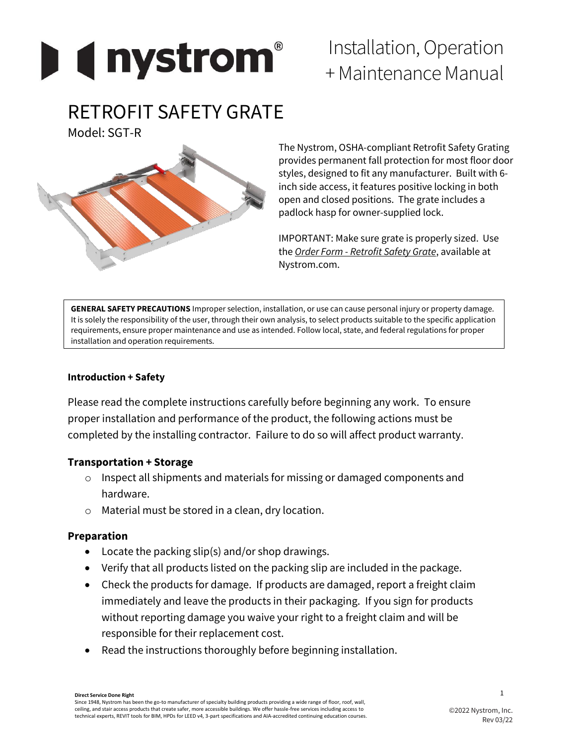

# Installation, Operation + Maintenance Manual

# RETROFIT SAFETY GRATE

Model: SGT-R



The Nystrom, OSHA-compliant Retrofit Safety Grating provides permanent fall protection for most floor door styles, designed to fit any manufacturer. Built with 6 inch side access, it features positive locking in both open and closed positions. The grate includes a padlock hasp for owner-supplied lock.

IMPORTANT: Make sure grate is properly sized. Use the *Order Form - Retrofit Safety Grate*, available at Nystrom.com.

**GENERAL SAFETY PRECAUTIONS** Improper selection, installation, or use can cause personal injury or property damage. It is solely the responsibility of the user, through their own analysis, to select products suitable to the specific application requirements, ensure proper maintenance and use as intended. Follow local, state, and federal regulations for proper installation and operation requirements.

### **Introduction + Safety**

Please read the complete instructions carefully before beginning any work. To ensure proper installation and performance of the product, the following actions must be completed by the installing contractor. Failure to do so will affect product warranty.

# **Transportation + Storage**

- o Inspect all shipments and materials for missing or damaged components and hardware.
- o Material must be stored in a clean, dry location.

#### **Preparation**

- Locate the packing slip(s) and/or shop drawings.
- Verify that all products listed on the packing slip are included in the package.
- Check the products for damage. If products are damaged, report a freight claim immediately and leave the products in their packaging. If you sign for products without reporting damage you waive your right to a freight claim and will be responsible for their replacement cost.
- Read the instructions thoroughly before beginning installation.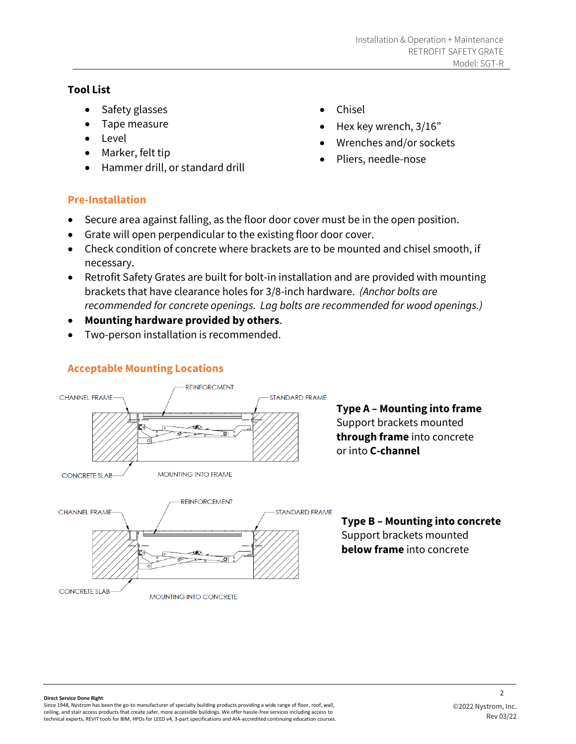#### **Tool List**

- Safety glasses
- Tape measure
- Level
- Marker, felt tip
- Hammer drill, or standard drill
- Chisel
- Hex key wrench, 3/16"
- Wrenches and/or sockets
- Pliers, needle-nose

# **Pre-Installation**

- Secure area against falling, as the floor door cover must be in the open position.
- Grate will open perpendicular to the existing floor door cover.
- Check condition of concrete where brackets are to be mounted and chisel smooth, if necessary.
- Retrofit Safety Grates are built for bolt-in installation and are provided with mounting brackets that have clearance holes for 3/8-inch hardware. *(Anchor bolts are recommended for concrete openings. Lag bolts are recommended for wood openings.)*
- **Mounting hardware provided by others**.
- Two-person installation is recommended.

# **Acceptable Mounting Locations**



**MOUNTING INTO CONCRETE** 

**Type A – Mounting into frame** Support brackets mounted **through frame** into concrete or into **C-channel**



 $\overline{2}$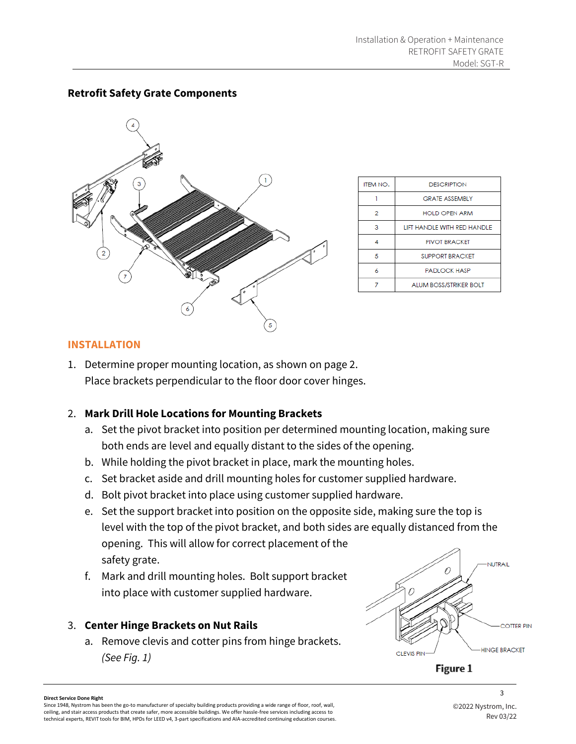

| <b>ITEM NO.</b> | <b>DESCRIPTION</b>            |
|-----------------|-------------------------------|
|                 | <b>GRATE ASSEMBLY</b>         |
| 2               | <b>HOLD OPEN ARM</b>          |
| з               | LIFT HANDI F WITH RED HANDI F |
|                 | <b>PIVOT BRACKET</b>          |
| 5               | <b>SUPPORT BRACKET</b>        |
| ĸ               | <b>PADLOCK HASP</b>           |
|                 | <b>ALUM BOSS/STRIKER BOLT</b> |

# **Retrofit Safety Grate Components**

#### **INSTALLATION**

1. Determine proper mounting location, as shown on page 2. Place brackets perpendicular to the floor door cover hinges.

#### 2. **Mark Drill Hole Locations for Mounting Brackets**

- a. Set the pivot bracket into position per determined mounting location, making sure both ends are level and equally distant to the sides of the opening.
- b. While holding the pivot bracket in place, mark the mounting holes.
- c. Set bracket aside and drill mounting holes for customer supplied hardware.
- d. Bolt pivot bracket into place using customer supplied hardware.
- e. Set the support bracket into position on the opposite side, making sure the top is level with the top of the pivot bracket, and both sides are equally distanced from the opening. This will allow for correct placement of the safety grate.
- f. Mark and drill mounting holes. Bolt support bracket into place with customer supplied hardware.

#### 3. **Center Hinge Brackets on Nut Rails**

a. Remove clevis and cotter pins from hinge brackets. *(See Fig. 1)* 



Figure 1

#### **Direct Service Done Right**

Since 1948, Nystrom has been the go-to manufacturer of specialty building products providing a wide range of floor, roof, wall, ceiling, and stair access products that create safer, more accessible buildings. We offer hassle-free services including access to technical experts, REVIT tools for BIM, HPDs for LEED v4, 3-part specifications and AIA-accredited continuing education courses. 3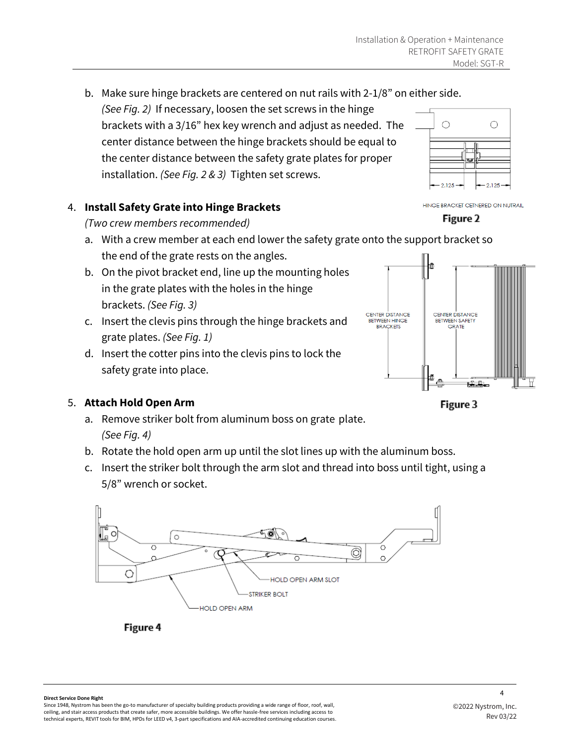b. Make sure hinge brackets are centered on nut rails with 2-1/8" on either side. *(See Fig. 2)* If necessary, loosen the set screws in the hinge brackets with a 3/16" hex key wrench and adjust as needed. The  $\bigcirc$ center distance between the hinge brackets should be equal to the center distance between the safety grate plates for proper installation. *(See Fig. 2 & 3)* Tighten set screws.  $-2.125$ 

# 4. **Install Safety Grate into Hinge Brackets**

# *(Two crew members recommended)*

- a. With a crew member at each end lower the safety grate onto the support bracket so the end of the grate rests on the angles.
- b. On the pivot bracket end, line up the mounting holes in the grate plates with the holes in the hinge brackets. *(See Fig. 3)*
- c. Insert the clevis pins through the hinge brackets and grate plates. *(See Fig. 1)*
- d. Insert the cotter pins into the clevis pins to lock the safety grate into place.

# 5. **Attach Hold Open Arm**

- a. Remove striker bolt from aluminum boss on grate plate. *(See Fig. 4)*
- b. Rotate the hold open arm up until the slot lines up with the aluminum boss.
- c. Insert the striker bolt through the arm slot and thread into boss until tight, using a 5/8" wrench or socket.



Figure 4

HINGE BRACKET CETNERED ON NUTRAIL

 $\bigcirc$ 

 $2.125$ 





Figure 3

Since 1948, Nystrom has been the go-to manufacturer of specialty building products providing a wide range of floor, roof, wall, ceiling, and stair access products that create safer, more accessible buildings. We offer hassle-free services including access to technical experts, REVIT tools for BIM, HPDs for LEED v4, 3-part specifications and AIA-accredited continuing education courses.